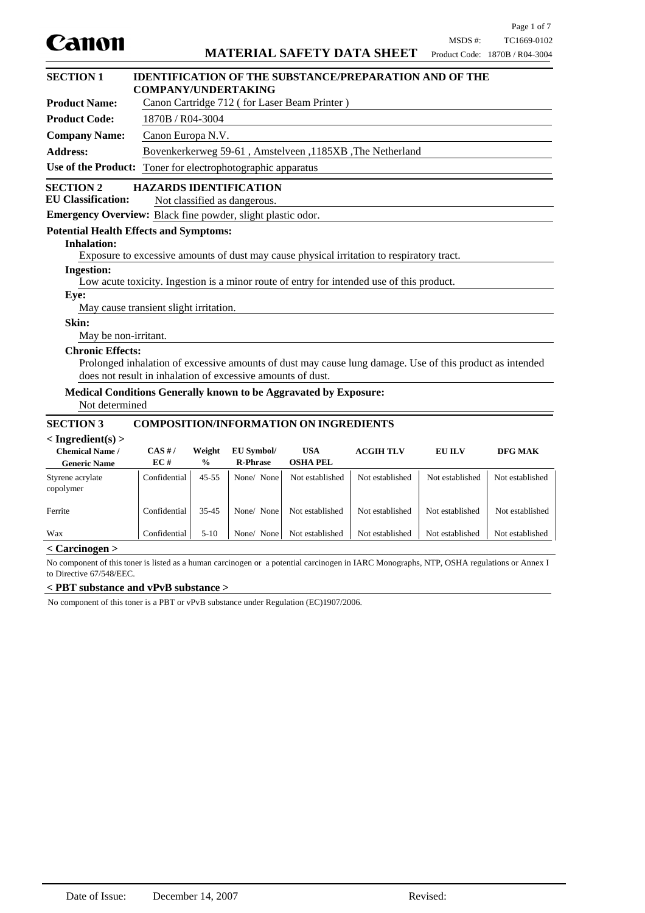| <b>SECTION 1</b>                                                                                                                          | <b>COMPANY/UNDERTAKING</b>             |                                              |                                         | <b>IDENTIFICATION OF THE SUBSTANCE/PREPARATION AND OF THE</b>                                            |                  |                 |                 |
|-------------------------------------------------------------------------------------------------------------------------------------------|----------------------------------------|----------------------------------------------|-----------------------------------------|----------------------------------------------------------------------------------------------------------|------------------|-----------------|-----------------|
| <b>Product Name:</b>                                                                                                                      |                                        | Canon Cartridge 712 (for Laser Beam Printer) |                                         |                                                                                                          |                  |                 |                 |
| <b>Product Code:</b>                                                                                                                      |                                        | 1870B / R04-3004                             |                                         |                                                                                                          |                  |                 |                 |
| <b>Company Name:</b>                                                                                                                      | Canon Europa N.V.                      |                                              |                                         |                                                                                                          |                  |                 |                 |
| <b>Address:</b>                                                                                                                           |                                        |                                              |                                         | Bovenkerkerweg 59-61, Amstelveen, 1185XB, The Netherland                                                 |                  |                 |                 |
| <b>Use of the Product:</b>                                                                                                                |                                        |                                              | Toner for electrophotographic apparatus |                                                                                                          |                  |                 |                 |
|                                                                                                                                           |                                        |                                              |                                         |                                                                                                          |                  |                 |                 |
| <b>SECTION 2</b><br><b>EU Classification:</b>                                                                                             | <b>HAZARDS IDENTIFICATION</b>          |                                              | Not classified as dangerous.            |                                                                                                          |                  |                 |                 |
| <b>Emergency Overview:</b> Black fine powder, slight plastic odor.                                                                        |                                        |                                              |                                         |                                                                                                          |                  |                 |                 |
| <b>Potential Health Effects and Symptoms:</b>                                                                                             |                                        |                                              |                                         |                                                                                                          |                  |                 |                 |
| <b>Inhalation:</b>                                                                                                                        |                                        |                                              |                                         |                                                                                                          |                  |                 |                 |
|                                                                                                                                           |                                        |                                              |                                         | Exposure to excessive amounts of dust may cause physical irritation to respiratory tract.                |                  |                 |                 |
| <b>Ingestion:</b>                                                                                                                         |                                        |                                              |                                         |                                                                                                          |                  |                 |                 |
|                                                                                                                                           |                                        |                                              |                                         | Low acute toxicity. Ingestion is a minor route of entry for intended use of this product.                |                  |                 |                 |
| Eye:                                                                                                                                      |                                        |                                              |                                         |                                                                                                          |                  |                 |                 |
|                                                                                                                                           | May cause transient slight irritation. |                                              |                                         |                                                                                                          |                  |                 |                 |
| Skin:<br>May be non-irritant.                                                                                                             |                                        |                                              |                                         |                                                                                                          |                  |                 |                 |
| <b>Chronic Effects:</b>                                                                                                                   |                                        |                                              |                                         |                                                                                                          |                  |                 |                 |
|                                                                                                                                           |                                        |                                              |                                         | Prolonged inhalation of excessive amounts of dust may cause lung damage. Use of this product as intended |                  |                 |                 |
| does not result in inhalation of excessive amounts of dust.                                                                               |                                        |                                              |                                         |                                                                                                          |                  |                 |                 |
| <b>Medical Conditions Generally known to be Aggravated by Exposure:</b>                                                                   |                                        |                                              |                                         |                                                                                                          |                  |                 |                 |
| Not determined                                                                                                                            |                                        |                                              |                                         |                                                                                                          |                  |                 |                 |
| <b>SECTION 3</b><br><b>COMPOSITION/INFORMATION ON INGREDIENTS</b>                                                                         |                                        |                                              |                                         |                                                                                                          |                  |                 |                 |
| $<$ Ingredient(s) $>$                                                                                                                     |                                        |                                              |                                         |                                                                                                          |                  |                 |                 |
| <b>Chemical Name /</b>                                                                                                                    | CAS H/                                 | Weight                                       | <b>EU Symbol/</b>                       | <b>USA</b>                                                                                               | <b>ACGIH TLV</b> | <b>EU ILV</b>   | <b>DFG MAK</b>  |
| <b>Generic Name</b>                                                                                                                       | EC#                                    | $\frac{0}{0}$                                | <b>R-Phrase</b>                         | <b>OSHA PEL</b>                                                                                          |                  |                 |                 |
| Styrene acrylate<br>copolymer                                                                                                             | Confidential                           | $45 - 55$                                    | None/ None                              | Not established                                                                                          | Not established  | Not established | Not established |
| Ferrite                                                                                                                                   | Confidential                           | 35-45                                        | None/ None                              | Not established                                                                                          | Not established  | Not established | Not established |
| Wax                                                                                                                                       | Confidential                           | $5-10$                                       | None/ None                              | Not established                                                                                          | Not established  | Not established | Not established |
| $<$ Carcinogen $>$                                                                                                                        |                                        |                                              |                                         |                                                                                                          |                  |                 |                 |
| No component of this toner is listed as a human carcinogen or a potential carcinogen in IARC Monographs, NTP, OSHA regulations or Annex I |                                        |                                              |                                         |                                                                                                          |                  |                 |                 |

to Directive 67/548/EEC.

### **< PBT substance and vPvB substance >**

No component of this toner is a PBT or vPvB substance under Regulation (EC)1907/2006.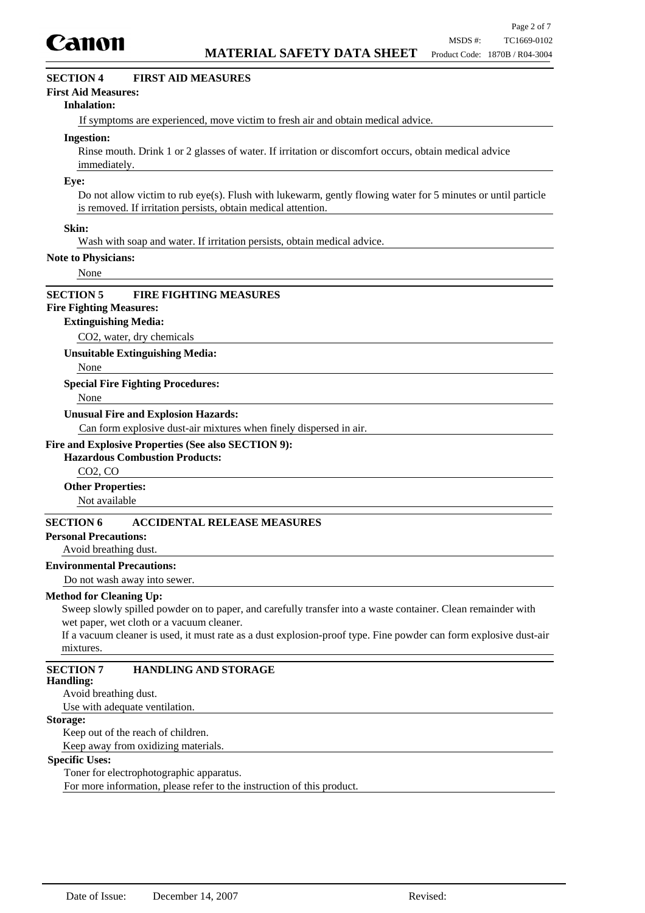

## **SECTION 4 FIRST AID MEASURES**

#### **First Aid Measures:**

#### **Inhalation:**

If symptoms are experienced, move victim to fresh air and obtain medical advice.

#### **Ingestion:**

Rinse mouth. Drink 1 or 2 glasses of water. If irritation or discomfort occurs, obtain medical advice immediately.

#### **Eye:**

Do not allow victim to rub eye(s). Flush with lukewarm, gently flowing water for 5 minutes or until particle is removed. If irritation persists, obtain medical attention.

#### **Skin:**

Wash with soap and water. If irritation persists, obtain medical advice.

#### **Note to Physicians:**

None

#### **SECTION 5 FIRE FIGHTING MEASURES**

## **Fire Fighting Measures:**

#### **Extinguishing Media:**

CO2, water, dry chemicals

**Unsuitable Extinguishing Media:**

None

#### **Special Fire Fighting Procedures:**

None

#### **Unusual Fire and Explosion Hazards:**

Can form explosive dust-air mixtures when finely dispersed in air.

### **Fire and Explosive Properties (See also SECTION 9):**

### **Hazardous Combustion Products:**

CO2, CO

#### **Other Properties:**

Not available

## **SECTION 6 ACCIDENTAL RELEASE MEASURES**

### **Personal Precautions:**

#### Avoid breathing dust.

### **Environmental Precautions:**

Do not wash away into sewer.

#### **Method for Cleaning Up:**

Sweep slowly spilled powder on to paper, and carefully transfer into a waste container. Clean remainder with wet paper, wet cloth or a vacuum cleaner.

If a vacuum cleaner is used, it must rate as a dust explosion-proof type. Fine powder can form explosive dust-air mixtures.

## **SECTION 7 HANDLING AND STORAGE**

#### **Handling:**

Avoid breathing dust.

Use with adequate ventilation.

### **Storage:**

Keep out of the reach of children. Keep away from oxidizing materials.

#### **Specific Uses:**

Toner for electrophotographic apparatus.

For more information, please refer to the instruction of this product.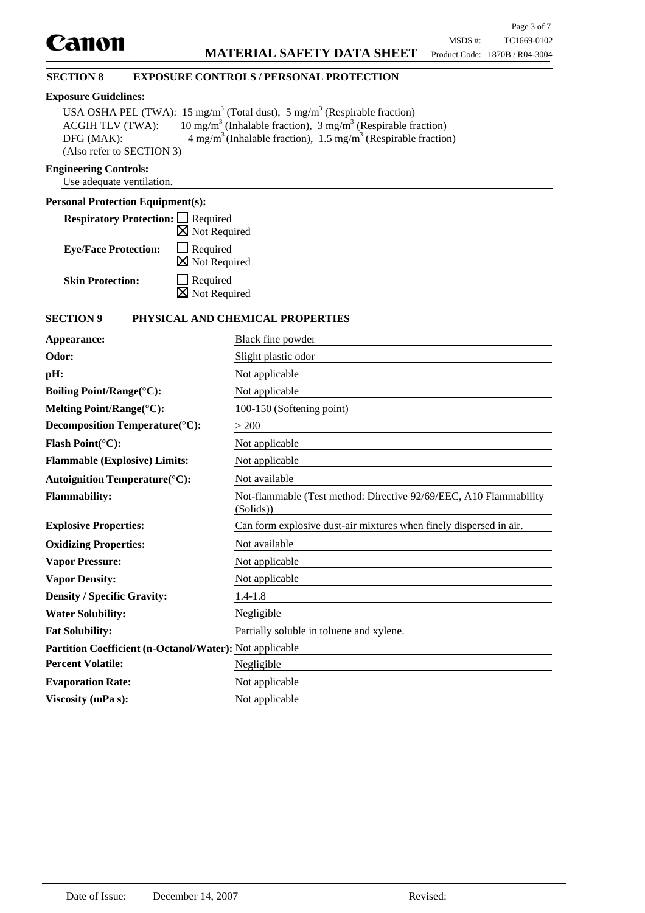### **SECTION 8 EXPOSURE CONTROLS / PERSONAL PROTECTION**

### **Exposure Guidelines:**

|                           | USA OSHA PEL (TWA): 15 mg/m <sup>3</sup> (Total dust), 5 mg/m <sup>3</sup> (Respirable fraction) |
|---------------------------|--------------------------------------------------------------------------------------------------|
| <b>ACGIH TLV (TWA):</b>   | 10 mg/m <sup>3</sup> (Inhalable fraction), 3 mg/m <sup>3</sup> (Respirable fraction)             |
| DFG (MAK):                | $4 \text{ mg/m}^3$ (Inhalable fraction), $1.5 \text{ mg/m}^3$ (Respirable fraction)              |
| (Also refer to SECTION 3) |                                                                                                  |

### **Engineering Controls:**

Use adequate ventilation.

### **Personal Protection Equipment(s):**

| <b>Respiratory Protection:</b> □ Required |                                             |
|-------------------------------------------|---------------------------------------------|
|                                           | $\boxtimes$ Not Required                    |
| <b>Eye/Face Protection:</b>               | $\Box$ Required<br>$\boxtimes$ Not Required |
| <b>Skin Protection:</b>                   | $\Box$ Required<br>$\boxtimes$ Not Required |

## **SECTION 9 PHYSICAL AND CHEMICAL PROPERTIES**

| Appearance:                                                    | Black fine powder                                                              |  |
|----------------------------------------------------------------|--------------------------------------------------------------------------------|--|
| Odor:                                                          | Slight plastic odor                                                            |  |
| pH:                                                            | Not applicable                                                                 |  |
| <b>Boiling Point/Range(°C):</b>                                | Not applicable                                                                 |  |
| Melting Point/Range(°C):                                       | 100-150 (Softening point)                                                      |  |
| Decomposition Temperature(°C):                                 | > 200                                                                          |  |
| <b>Flash Point(°C):</b>                                        | Not applicable                                                                 |  |
| <b>Flammable (Explosive) Limits:</b>                           | Not applicable                                                                 |  |
| <b>Autoignition Temperature(°C):</b>                           | Not available                                                                  |  |
| <b>Flammability:</b>                                           | Not-flammable (Test method: Directive 92/69/EEC, A10 Flammability<br>(Solids)) |  |
| <b>Explosive Properties:</b>                                   | Can form explosive dust-air mixtures when finely dispersed in air.             |  |
| <b>Oxidizing Properties:</b>                                   | Not available                                                                  |  |
| <b>Vapor Pressure:</b>                                         | Not applicable                                                                 |  |
| <b>Vapor Density:</b>                                          | Not applicable                                                                 |  |
| <b>Density / Specific Gravity:</b>                             | $1.4 - 1.8$                                                                    |  |
| <b>Water Solubility:</b>                                       | Negligible                                                                     |  |
| <b>Fat Solubility:</b>                                         | Partially soluble in toluene and xylene.                                       |  |
| <b>Partition Coefficient (n-Octanol/Water):</b> Not applicable |                                                                                |  |
| <b>Percent Volatile:</b>                                       | Negligible                                                                     |  |
| <b>Evaporation Rate:</b>                                       | Not applicable                                                                 |  |
| Viscosity (mPa s):                                             | Not applicable                                                                 |  |
|                                                                |                                                                                |  |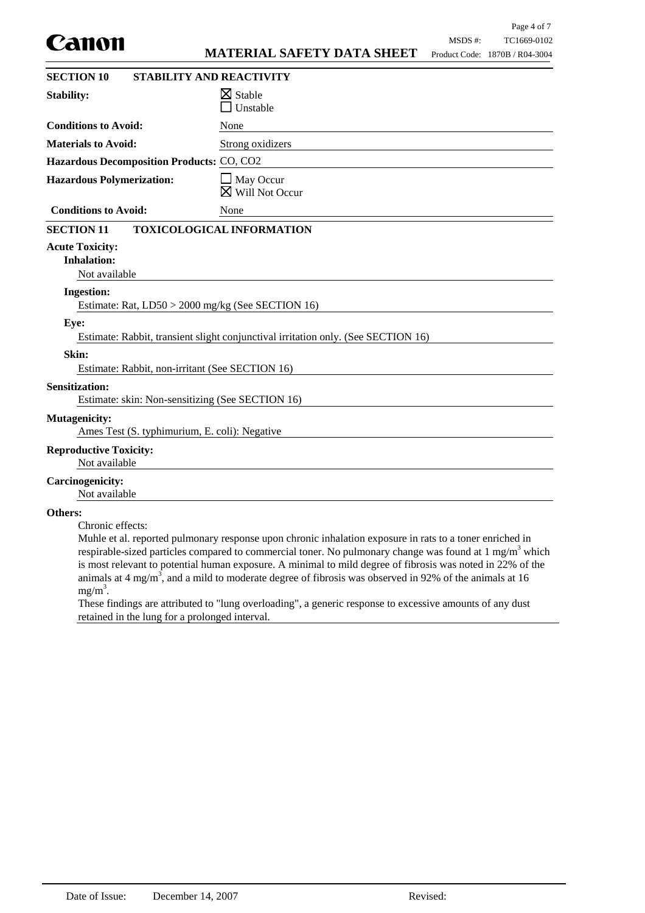|                                                                           |                                                                                                                                                                                                                                                                                                                                                                                                                                                                     |         | Page 4 of 7                                   |
|---------------------------------------------------------------------------|---------------------------------------------------------------------------------------------------------------------------------------------------------------------------------------------------------------------------------------------------------------------------------------------------------------------------------------------------------------------------------------------------------------------------------------------------------------------|---------|-----------------------------------------------|
| canon                                                                     | <b>MATERIAL SAFETY DATA SHEET</b>                                                                                                                                                                                                                                                                                                                                                                                                                                   | MSDS #: | TC1669-0102<br>Product Code: 1870B / R04-3004 |
|                                                                           |                                                                                                                                                                                                                                                                                                                                                                                                                                                                     |         |                                               |
| <b>SECTION 10</b>                                                         | <b>STABILITY AND REACTIVITY</b>                                                                                                                                                                                                                                                                                                                                                                                                                                     |         |                                               |
| <b>Stability:</b>                                                         | $\boxtimes$ Stable<br>Unstable                                                                                                                                                                                                                                                                                                                                                                                                                                      |         |                                               |
| <b>Conditions to Avoid:</b>                                               | None                                                                                                                                                                                                                                                                                                                                                                                                                                                                |         |                                               |
| <b>Materials to Avoid:</b>                                                | Strong oxidizers                                                                                                                                                                                                                                                                                                                                                                                                                                                    |         |                                               |
| Hazardous Decomposition Products: CO, CO2                                 |                                                                                                                                                                                                                                                                                                                                                                                                                                                                     |         |                                               |
| <b>Hazardous Polymerization:</b>                                          | $\Box$ May Occur<br>$\boxtimes$ Will Not Occur                                                                                                                                                                                                                                                                                                                                                                                                                      |         |                                               |
| <b>Conditions to Avoid:</b>                                               | None                                                                                                                                                                                                                                                                                                                                                                                                                                                                |         |                                               |
| <b>SECTION 11</b>                                                         | <b>TOXICOLOGICAL INFORMATION</b>                                                                                                                                                                                                                                                                                                                                                                                                                                    |         |                                               |
| <b>Acute Toxicity:</b><br><b>Inhalation:</b><br>Not available             |                                                                                                                                                                                                                                                                                                                                                                                                                                                                     |         |                                               |
| <b>Ingestion:</b>                                                         |                                                                                                                                                                                                                                                                                                                                                                                                                                                                     |         |                                               |
| Estimate: Rat, LD50 > 2000 mg/kg (See SECTION 16)                         |                                                                                                                                                                                                                                                                                                                                                                                                                                                                     |         |                                               |
| Eye:                                                                      | Estimate: Rabbit, transient slight conjunctival irritation only. (See SECTION 16)                                                                                                                                                                                                                                                                                                                                                                                   |         |                                               |
| Skin:                                                                     |                                                                                                                                                                                                                                                                                                                                                                                                                                                                     |         |                                               |
| Estimate: Rabbit, non-irritant (See SECTION 16)                           |                                                                                                                                                                                                                                                                                                                                                                                                                                                                     |         |                                               |
| <b>Sensitization:</b><br>Estimate: skin: Non-sensitizing (See SECTION 16) |                                                                                                                                                                                                                                                                                                                                                                                                                                                                     |         |                                               |
| <b>Mutagenicity:</b><br>Ames Test (S. typhimurium, E. coli): Negative     |                                                                                                                                                                                                                                                                                                                                                                                                                                                                     |         |                                               |
| <b>Reproductive Toxicity:</b><br>Not available                            |                                                                                                                                                                                                                                                                                                                                                                                                                                                                     |         |                                               |
| <b>Carcinogenicity:</b><br>Not available                                  |                                                                                                                                                                                                                                                                                                                                                                                                                                                                     |         |                                               |
| Others:<br>Chronic effects:<br>$mg/m^3$ .                                 | Muhle et al. reported pulmonary response upon chronic inhalation exposure in rats to a toner enriched in<br>respirable-sized particles compared to commercial toner. No pulmonary change was found at $1 \text{ mg/m}^3$ which<br>is most relevant to potential human exposure. A minimal to mild degree of fibrosis was noted in 22% of the<br>animals at 4 mg/m <sup>3</sup> , and a mild to moderate degree of fibrosis was observed in 92% of the animals at 16 |         |                                               |

These findings are attributed to "lung overloading", a generic response to excessive amounts of any dust retained in the lung for a prolonged interval.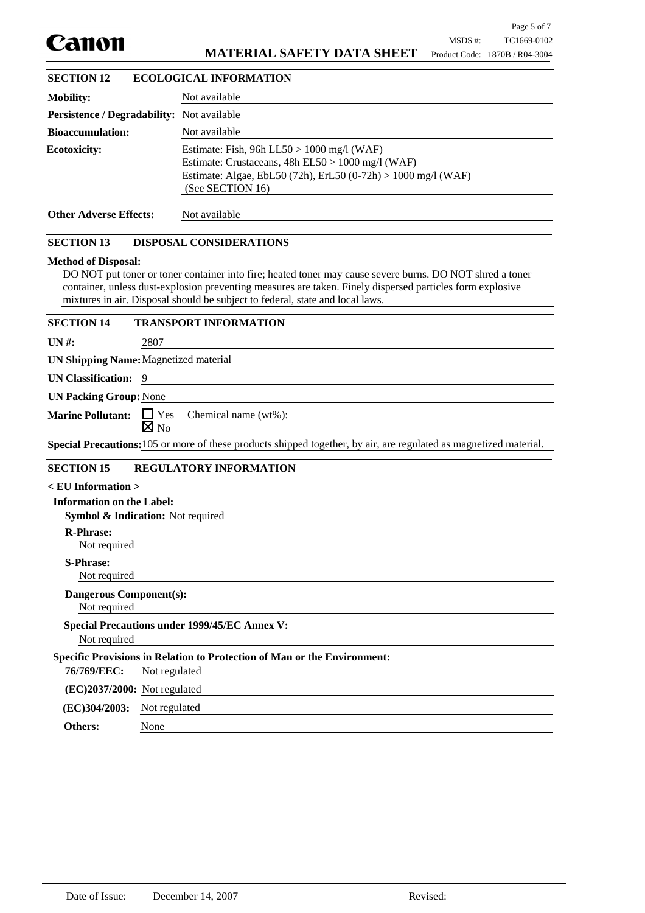

## **MATERIAL SAFETY DATA SHEET**

| <b>SECTION 12</b>                                 | <b>ECOLOGICAL INFORMATION</b>                                                                                                                                                          |
|---------------------------------------------------|----------------------------------------------------------------------------------------------------------------------------------------------------------------------------------------|
| <b>Mobility:</b>                                  | Not available                                                                                                                                                                          |
| <b>Persistence / Degradability:</b> Not available |                                                                                                                                                                                        |
| <b>Bioaccumulation:</b>                           | Not available                                                                                                                                                                          |
| <b>Ecotoxicity:</b>                               | Estimate: Fish, 96h LL50 > 1000 mg/l (WAF)<br>Estimate: Crustaceans, $48h$ EL50 > 1000 mg/l (WAF)<br>Estimate: Algae, EbL50 (72h), ErL50 (0-72h) > 1000 mg/l (WAF)<br>(See SECTION 16) |
| <b>Other Adverse Effects:</b>                     | Not available                                                                                                                                                                          |
|                                                   |                                                                                                                                                                                        |

### **SECTION 13 DISPOSAL CONSIDERATIONS**

#### **Method of Disposal:**

DO NOT put toner or toner container into fire; heated toner may cause severe burns. DO NOT shred a toner container, unless dust-explosion preventing measures are taken. Finely dispersed particles form explosive mixtures in air. Disposal should be subject to federal, state and local laws.

# **SECTION 14 TRANSPORT INFORMATION**

**UN #:** 2807

**UN Shipping Name:**Magnetized material

# **UN Classification:** 9

**UN Packing Group:**None

Marine Pollutant: □ Yes Chemical name (wt%):

 $\boxtimes$  No

**Special Precautions:**105 or more of these products shipped together, by air, are regulated as magnetized material.

## **SECTION 15 REGULATORY INFORMATION**

| $<$ EU Information $>$           |                                                                                 |
|----------------------------------|---------------------------------------------------------------------------------|
| <b>Information on the Label:</b> |                                                                                 |
|                                  | <b>Symbol &amp; Indication:</b> Not required                                    |
| <b>R-Phrase:</b>                 |                                                                                 |
| Not required                     |                                                                                 |
| <b>S-Phrase:</b>                 |                                                                                 |
| Not required                     |                                                                                 |
| <b>Dangerous Component(s):</b>   |                                                                                 |
| Not required                     |                                                                                 |
|                                  | <b>Special Precautions under 1999/45/EC Annex V:</b>                            |
| Not required                     |                                                                                 |
|                                  | <b>Specific Provisions in Relation to Protection of Man or the Environment:</b> |
| 76/769/EEC:                      | Not regulated                                                                   |
| $(EC)2037/2000$ : Not regulated  |                                                                                 |
| (EC)304/2003:                    | Not regulated                                                                   |
| <b>Others:</b>                   | None                                                                            |

**Others:**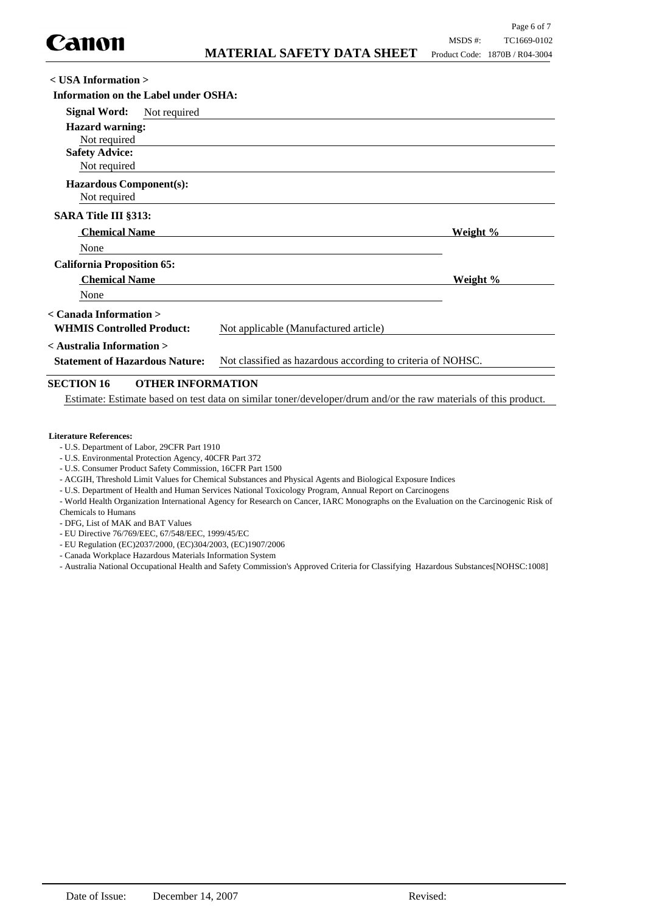| $\langle$ USA Information $\rangle$                                |                                                             |                 |
|--------------------------------------------------------------------|-------------------------------------------------------------|-----------------|
| Information on the Label under OSHA:                               |                                                             |                 |
| <b>Signal Word:</b><br>Not required                                |                                                             |                 |
| <b>Hazard warning:</b><br>Not required                             |                                                             |                 |
| <b>Safety Advice:</b><br>Not required                              |                                                             |                 |
| <b>Hazardous Component(s):</b><br>Not required                     |                                                             |                 |
| <b>SARA Title III §313:</b>                                        |                                                             |                 |
| <b>Chemical Name</b>                                               |                                                             | Weight %        |
| None                                                               |                                                             |                 |
| <b>California Proposition 65:</b>                                  |                                                             |                 |
| <b>Chemical Name</b>                                               |                                                             | <u>Weight %</u> |
| None                                                               |                                                             |                 |
| < Canada Information ><br><b>WHMIS Controlled Product:</b>         | Not applicable (Manufactured article)                       |                 |
| < Australia Information ><br><b>Statement of Hazardous Nature:</b> | Not classified as hazardous according to criteria of NOHSC. |                 |
| <b>SECTION 16</b><br><b>OTHER INFORMATION</b>                      |                                                             |                 |

Estimate: Estimate based on test data on similar toner/developer/drum and/or the raw materials of this product.

#### **Literature References:**

- U.S. Department of Labor, 29CFR Part 1910
- U.S. Environmental Protection Agency, 40CFR Part 372
- U.S. Consumer Product Safety Commission, 16CFR Part 1500
- ACGIH, Threshold Limit Values for Chemical Substances and Physical Agents and Biological Exposure Indices
- U.S. Department of Health and Human Services National Toxicology Program, Annual Report on Carcinogens

- World Health Organization International Agency for Research on Cancer, IARC Monographs on the Evaluation on the Carcinogenic Risk of Chemicals to Humans

- DFG, List of MAK and BAT Values

- EU Directive 76/769/EEC, 67/548/EEC, 1999/45/EC
- EU Regulation (EC)2037/2000, (EC)304/2003, (EC)1907/2006
- Canada Workplace Hazardous Materials Information System
- Australia National Occupational Health and Safety Commission's Approved Criteria for Classifying Hazardous Substances[NOHSC:1008]